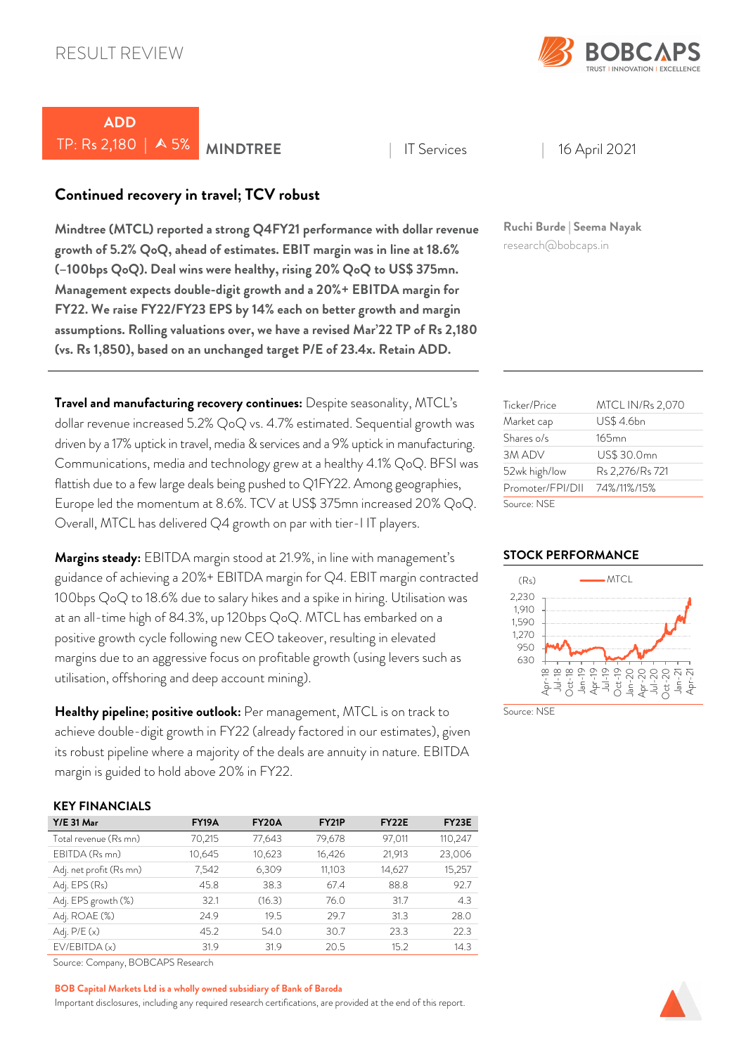

# *ADD*  TP: Rs 2,180 | 5% *MINDTREE* <sup>|</sup> IT Services | 16 April 2021

# *Continued recovery in travel; TCV robust*

*Mindtree (MTCL) reported a strong Q4FY21 performance with dollar revenue growth of 5.2% QoQ, ahead of estimates. EBIT margin was in line at 18.6% (–100bps QoQ). Deal wins were healthy, rising 20% QoQ to US\$ 375mn. Management expects double-digit growth and a 20%+ EBITDA margin for FY22. We raise FY22/FY23 EPS by 14% each on better growth and margin assumptions. Rolling valuations over, we have a revised Mar'22 TP of Rs 2,180 (vs. Rs 1,850), based on an unchanged target P/E of 23.4x. Retain ADD.* 

*Travel and manufacturing recovery continues:* Despite seasonality, MTCL's dollar revenue increased 5.2% QoQ vs. 4.7% estimated. Sequential growth was driven by a 17% uptick in travel, media & services and a 9% uptick in manufacturing. Communications, media and technology grew at a healthy 4.1% QoQ. BFSI was flattish due to a few large deals being pushed to Q1FY22. Among geographies, Europe led the momentum at 8.6%. TCV at US\$ 375mn increased 20% QoQ. Overall, MTCL has delivered Q4 growth on par with tier-I IT players.

*Margins steady:* EBITDA margin stood at 21.9%, in line with management's guidance of achieving a 20%+ EBITDA margin for Q4. EBIT margin contracted 100bps QoQ to 18.6% due to salary hikes and a spike in hiring. Utilisation was at an all-time high of 84.3%, up 120bps QoQ. MTCL has embarked on a positive growth cycle following new CEO takeover, resulting in elevated margins due to an aggressive focus on profitable growth (using levers such as utilisation, offshoring and deep account mining).

*Healthy pipeline; positive outlook:* Per management, MTCL is on track to achieve double-digit growth in FY22 (already factored in our estimates), given its robust pipeline where a majority of the deals are annuity in nature. EBITDA margin is guided to hold above 20% in FY22.

### *KEY FINANCIALS*

| $Y/E$ 31 Mar            | <b>FY19A</b> | FY <sub>20</sub> A | <b>FY21P</b> | FY <sub>22</sub> E | FY <sub>23</sub> E |
|-------------------------|--------------|--------------------|--------------|--------------------|--------------------|
| Total revenue (Rs mn)   | 70,215       | 77,643             | 79,678       | 97,011             | 110,247            |
| EBITDA (Rs mn)          | 10,645       | 10,623             | 16,426       | 21,913             | 23,006             |
| Adj. net profit (Rs mn) | 7,542        | 6,309              | 11,103       | 14,627             | 15,257             |
| Adj. EPS (Rs)           | 45.8         | 38.3               | 67.4         | 88.8               | 92.7               |
| Adj. EPS growth (%)     | 32.1         | (16.3)             | 76.0         | 31.7               | 4.3                |
| Adj. ROAE (%)           | 24.9         | 19.5               | 29.7         | 31.3               | 28.0               |
| Adj. $P/E(x)$           | 45.2         | 54.0               | 30.7         | 23.3               | 22.3               |
| EV/EBITDA(x)            | 31.9         | 31.9               | 20.5         | 15.2               | 14.3               |

Source: Company, BOBCAPS Research

#### *BOB Capital Markets Ltd is a wholly owned subsidiary of Bank of Baroda*

Important disclosures, including any required research certifications, are provided at the end of this report.

*Ruchi Burde | Seema Nayak* research@bobcaps.in

| Ticker/Price     | <b>MTCL IN/Rs 2,070</b> |
|------------------|-------------------------|
| Market cap       | US\$ 4.6bn              |
| Shares o/s       | $165$ mn                |
| 3M ADV           | US\$ 30.0mn             |
| 52wk high/low    | Rs 2,276/Rs 721         |
| Promoter/FPI/DII | 74%/11%/15%             |
| Source: NSE      |                         |

#### *STOCK PERFORMANCE*



Source: NSF

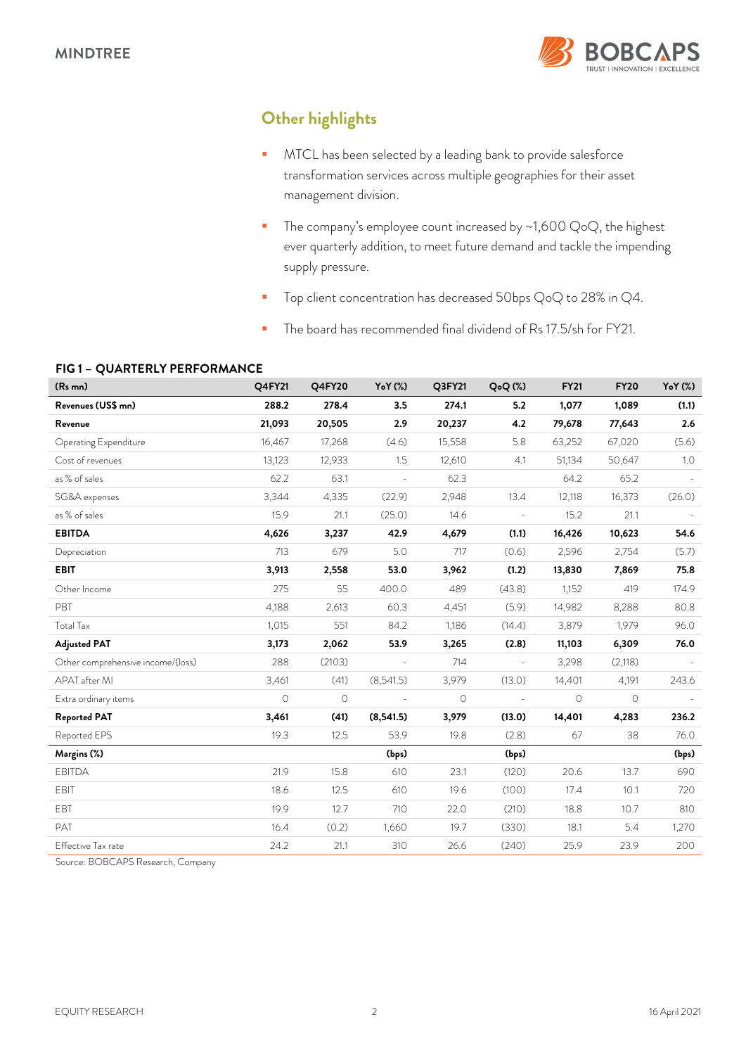

# *Other highlights*

- **MTCL** has been selected by a leading bank to provide salesforce transformation services across multiple geographies for their asset management division.
- The company's employee count increased by  $\sim$  1,600 QoQ, the highest ever quarterly addition, to meet future demand and tackle the impending supply pressure.
- Top client concentration has decreased 50bps QoQ to 28% in Q4.
- The board has recommended final dividend of Rs 17.5/sh for FY21.

### *FIG 1 – QUARTERLY PERFORMANCE*

| (R <sub>s</sub> mn)               | Q4FY21  | <b>Q4FY20</b> | YoY (%)        | Q3FY21  | Q <sub>o</sub> Q(%) | <b>FY21</b> | <b>FY20</b> | YoY (%) |
|-----------------------------------|---------|---------------|----------------|---------|---------------------|-------------|-------------|---------|
| Revenues (US\$ mn)                | 288.2   | 278.4         | 3.5            | 274.1   | 5.2                 | 1,077       | 1,089       | (1.1)   |
| Revenue                           | 21,093  | 20,505        | 2.9            | 20,237  | 4.2                 | 79,678      | 77,643      | 2.6     |
| Operating Expenditure             | 16,467  | 17,268        | (4.6)          | 15,558  | 5.8                 | 63,252      | 67,020      | (5.6)   |
| Cost of revenues                  | 13,123  | 12,933        | 1.5            | 12,610  | 4.1                 | 51,134      | 50,647      | 1.0     |
| as % of sales                     | 62.2    | 63.1          | L.             | 62.3    |                     | 64.2        | 65.2        |         |
| SG&A expenses                     | 3,344   | 4,335         | (22.9)         | 2,948   | 13.4                | 12,118      | 16,373      | (26.0)  |
| as % of sales                     | 15.9    | 21.1          | (25.0)         | 14.6    | $\bar{\phantom{a}}$ | 15.2        | 21.1        |         |
| <b>EBITDA</b>                     | 4,626   | 3,237         | 42.9           | 4,679   | (1.1)               | 16,426      | 10,623      | 54.6    |
| Depreciation                      | 713     | 679           | 5.0            | 717     | (0.6)               | 2,596       | 2,754       | (5.7)   |
| <b>EBIT</b>                       | 3,913   | 2,558         | 53.0           | 3,962   | (1.2)               | 13,830      | 7,869       | 75.8    |
| Other Income                      | 275     | 55            | 400.0          | 489     | (43.8)              | 1,152       | 419         | 174.9   |
| PBT                               | 4,188   | 2,613         | 60.3           | 4,451   | (5.9)               | 14,982      | 8,288       | 80.8    |
| <b>Total Tax</b>                  | 1,015   | 551           | 84.2           | 1,186   | (14.4)              | 3,879       | 1,979       | 96.0    |
| <b>Adjusted PAT</b>               | 3,173   | 2,062         | 53.9           | 3,265   | (2.8)               | 11,103      | 6,309       | 76.0    |
| Other comprehensive income/(loss) | 288     | (2103)        |                | 714     |                     | 3,298       | (2,118)     |         |
| APAT after MI                     | 3,461   | (41)          | (8,541.5)      | 3,979   | (13.0)              | 14,401      | 4,191       | 243.6   |
| Extra ordinary items              | $\circ$ | $\circ$       | $\overline{a}$ | $\circ$ | $\frac{1}{2}$       | $\circ$     | $\circ$     |         |
| <b>Reported PAT</b>               | 3,461   | (41)          | (8,541.5)      | 3,979   | (13.0)              | 14,401      | 4,283       | 236.2   |
| Reported EPS                      | 19.3    | 12.5          | 53.9           | 19.8    | (2.8)               | 67          | 38          | 76.0    |
| Margins (%)                       |         |               | (bps)          |         | (bps)               |             |             | (bps)   |
| <b>EBITDA</b>                     | 21.9    | 15.8          | 610            | 23.1    | (120)               | 20.6        | 13.7        | 690     |
| <b>EBIT</b>                       | 18.6    | 12.5          | 610            | 19.6    | (100)               | 17.4        | 10.1        | 720     |
| EBT                               | 19.9    | 12.7          | 710            | 22.0    | (210)               | 18.8        | 10.7        | 810     |
| PAT                               | 16.4    | (0.2)         | 1,660          | 19.7    | (330)               | 18.1        | 5.4         | 1,270   |
| Effective Tax rate                | 24.2    | 21.1          | 310            | 26.6    | (240)               | 25.9        | 23.9        | 200     |

Source: BOBCAPS Research, Company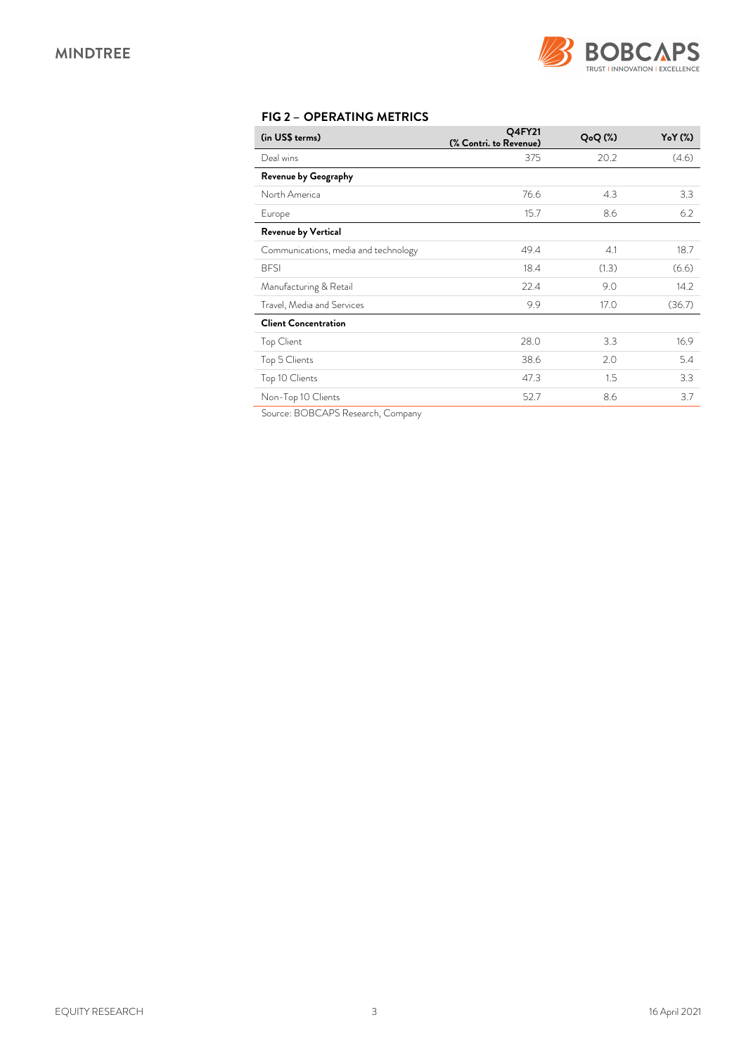

# *FIG 2 – OPERATING METRICS*

| (in US\$ terms)                      | Q4FY21<br>(% Contri. to Revenue) | $Q_0Q$ $(\%)$ | $YoY$ $(\%)$ |
|--------------------------------------|----------------------------------|---------------|--------------|
| Deal wins                            | 375                              | 20.2          | (4.6)        |
| <b>Revenue by Geography</b>          |                                  |               |              |
| North America                        | 76.6                             | 4.3           | 3.3          |
| Europe                               | 15.7                             | 8.6           | 6.2          |
| Revenue by Vertical                  |                                  |               |              |
| Communications, media and technology | 49.4                             | 4.1           | 18.7         |
| <b>BFSI</b>                          | 18.4                             | (1.3)         | (6.6)        |
| Manufacturing & Retail               | 22.4                             | 9.0           | 14.2         |
| Travel, Media and Services           | 9.9                              | 17.0          | (36.7)       |
| <b>Client Concentration</b>          |                                  |               |              |
| Top Client                           | 28.0                             | 3.3           | 16.9         |
| Top 5 Clients                        | 38.6                             | 2.0           | 5.4          |
| Top 10 Clients                       | 47.3                             | 1.5           | 3.3          |
| Non-Top 10 Clients                   | 52.7                             | 8.6           | 3.7          |

Source: BOBCAPS Research, Company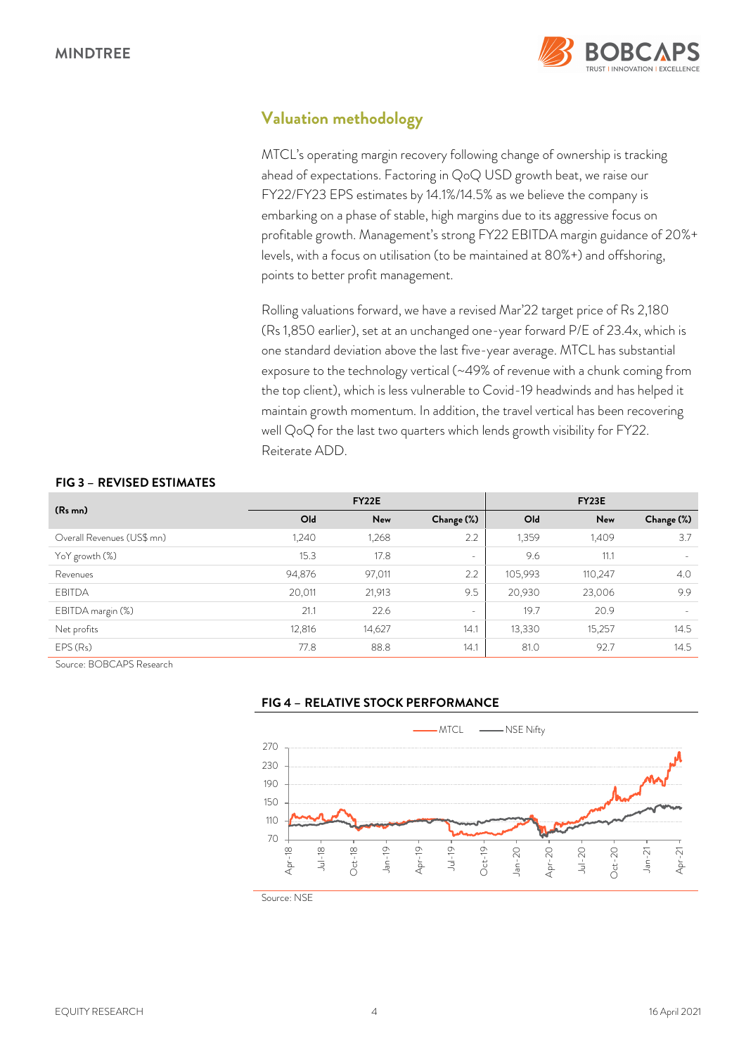

# *Valuation methodology*

MTCL's operating margin recovery following change of ownership is tracking ahead of expectations. Factoring in QoQ USD growth beat, we raise our FY22/FY23 EPS estimates by 14.1%/14.5% as we believe the company is embarking on a phase of stable, high margins due to its aggressive focus on profitable growth. Management's strong FY22 EBITDA margin guidance of 20%+ levels, with a focus on utilisation (to be maintained at 80%+) and offshoring, points to better profit management.

Rolling valuations forward, we have a revised Mar'22 target price of Rs 2,180 (Rs 1,850 earlier), set at an unchanged one-year forward P/E of 23.4x, which is one standard deviation above the last five-year average. MTCL has substantial exposure to the technology vertical (~49% of revenue with a chunk coming from the top client), which is less vulnerable to Covid-19 headwinds and has helped it maintain growth momentum. In addition, the travel vertical has been recovering well QoQ for the last two quarters which lends growth visibility for FY22. Reiterate ADD.

### *FIG 3 – REVISED ESTIMATES*

| (R <sub>s</sub> mn)        | <b>FY22E</b>    |        |            | FY <sub>23</sub> E |         |                   |
|----------------------------|-----------------|--------|------------|--------------------|---------|-------------------|
|                            | O <sub>ld</sub> | New    | Change (%) | Old                | New     | Change (%)        |
| Overall Revenues (US\$ mn) | 1,240           | 1,268  | 2.2        | 1,359              | 1,409   | 3.7               |
| YoY growth (%)             | 15.3            | 17.8   | ۰          | 9.6                | 11.1    | $\qquad \qquad =$ |
| Revenues                   | 94,876          | 97,011 | 2.2        | 105,993            | 110,247 | 4.0               |
| <b>EBITDA</b>              | 20,011          | 21,913 | 9.5        | 20,930             | 23,006  | 9.9               |
| EBITDA margin (%)          | 21.1            | 22.6   | $\sim$     | 19.7               | 20.9    | $\sim$            |
| Net profits                | 12,816          | 14,627 | 14.1       | 13,330             | 15,257  | 14.5              |
| EPS(Rs)                    | 77.8            | 88.8   | 14.1       | 81.0               | 92.7    | 14.5              |

Source: BOBCAPS Research

*FIG 4 – RELATIVE STOCK PERFORMANCE* 



Source: NSE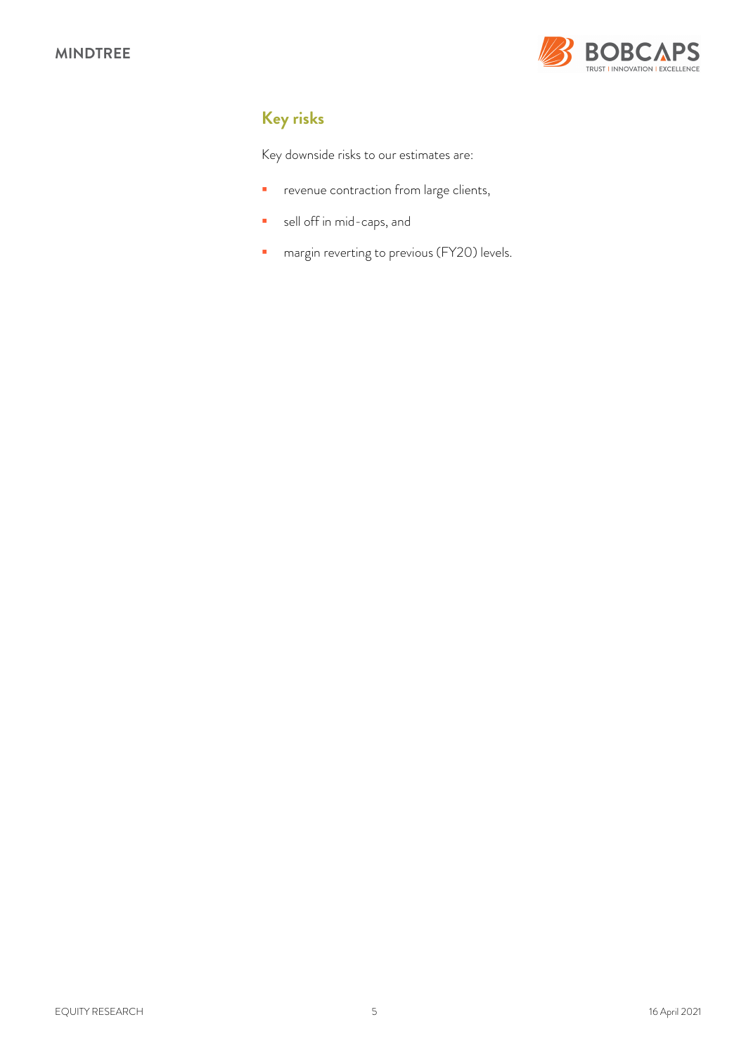

# *Key risks*

Key downside risks to our estimates are:

- **P** revenue contraction from large clients,
- sell off in mid-caps, and
- **n** margin reverting to previous (FY20) levels.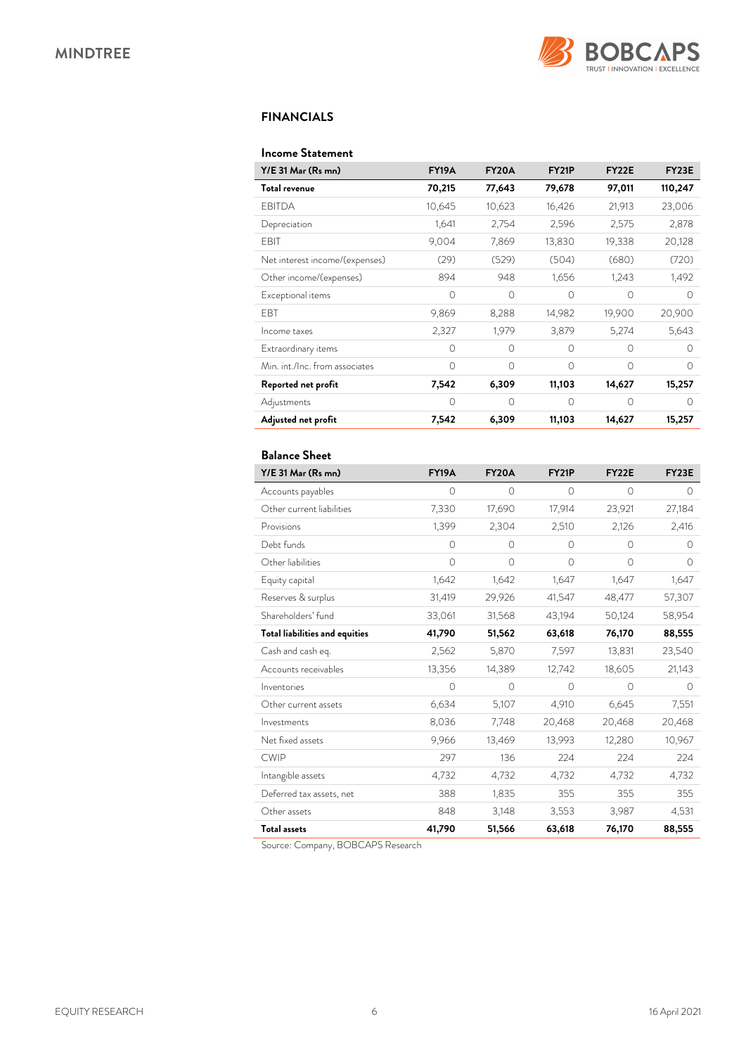

### *FINANCIALS*

#### *Income Statement*

| Y/E 31 Mar (Rs mn)             | <b>FY19A</b> | FY20A    | FY <sub>21</sub> P | FY <sub>22</sub> E | FY <sub>23</sub> E |
|--------------------------------|--------------|----------|--------------------|--------------------|--------------------|
| Total revenue                  | 70,215       | 77,643   | 79,678             | 97,011             | 110,247            |
| <b>EBITDA</b>                  | 10,645       | 10,623   | 16,426             | 21,913             | 23,006             |
| Depreciation                   | 1,641        | 2,754    | 2,596              | 2,575              | 2,878              |
| EBIT                           | 9,004        | 7,869    | 13,830             | 19,338             | 20,128             |
| Net interest income/(expenses) | (29)         | (529)    | (504)              | (680)              | (720)              |
| Other income/(expenses)        | 894          | 948      | 1,656              | 1,243              | 1,492              |
| Exceptional items              | $\Omega$     | $\Omega$ | $\Omega$           | $\bigcap$          | $\bigcap$          |
| <b>FBT</b>                     | 9,869        | 8,288    | 14,982             | 19,900             | 20,900             |
| Income taxes                   | 2,327        | 1,979    | 3,879              | 5,274              | 5,643              |
| Extraordinary items            | $\Omega$     | $\Omega$ | $\Omega$           | $\Omega$           | $\bigcap$          |
| Min. int./Inc. from associates | $\bigcap$    | $\Omega$ | $\Omega$           | $\Omega$           | $\bigcap$          |
| Reported net profit            | 7,542        | 6,309    | 11,103             | 14,627             | 15,257             |
| Adjustments                    | $\Omega$     | $\Omega$ | $\Omega$           | $\Omega$           | $\bigcap$          |
| Adjusted net profit            | 7,542        | 6,309    | 11,103             | 14,627             | 15,257             |

### *Balance Sheet*

| Y/E 31 Mar (Rs mn)                    | <b>FY19A</b> | <b>FY20A</b> | <b>FY21P</b> | <b>FY22E</b> | FY23E     |
|---------------------------------------|--------------|--------------|--------------|--------------|-----------|
| Accounts payables                     | $\circ$      | 0            | $\circ$      | $\circ$      | $\circ$   |
| Other current liabilities             | 7,330        | 17,690       | 17,914       | 23,921       | 27,184    |
| Provisions                            | 1,399        | 2,304        | 2,510        | 2,126        | 2,416     |
| Debt funds                            | $\circ$      | 0            | $\circ$      | $\circ$      | $\Omega$  |
| Other liabilities                     | $\Omega$     | $\circ$      | $\circ$      | $\bigcirc$   | $\Omega$  |
| Equity capital                        | 1,642        | 1,642        | 1,647        | 1,647        | 1,647     |
| Reserves & surplus                    | 31,419       | 29,926       | 41,547       | 48,477       | 57,307    |
| Shareholders' fund                    | 33,061       | 31,568       | 43,194       | 50,124       | 58,954    |
| <b>Total liabilities and equities</b> | 41,790       | 51,562       | 63,618       | 76,170       | 88,555    |
| Cash and cash eq.                     | 2,562        | 5,870        | 7,597        | 13,831       | 23,540    |
| Accounts receivables                  | 13,356       | 14,389       | 12,742       | 18,605       | 21,143    |
| Inventories                           | $\Omega$     | $\Omega$     | $\bigcirc$   | $\bigcirc$   | $\bigcap$ |
| Other current assets                  | 6,634        | 5,107        | 4,910        | 6,645        | 7,551     |
| Investments                           | 8,036        | 7,748        | 20,468       | 20,468       | 20,468    |
| Net fixed assets                      | 9,966        | 13,469       | 13,993       | 12,280       | 10,967    |
| <b>CWIP</b>                           | 297          | 136          | 224          | 224          | 224       |
| Intangible assets                     | 4,732        | 4,732        | 4,732        | 4,732        | 4,732     |
| Deferred tax assets, net              | 388          | 1,835        | 355          | 355          | 355       |
| Other assets                          | 848          | 3,148        | 3,553        | 3,987        | 4,531     |
| <b>Total assets</b>                   | 41,790       | 51,566       | 63,618       | 76,170       | 88,555    |

Source: Company, BOBCAPS Research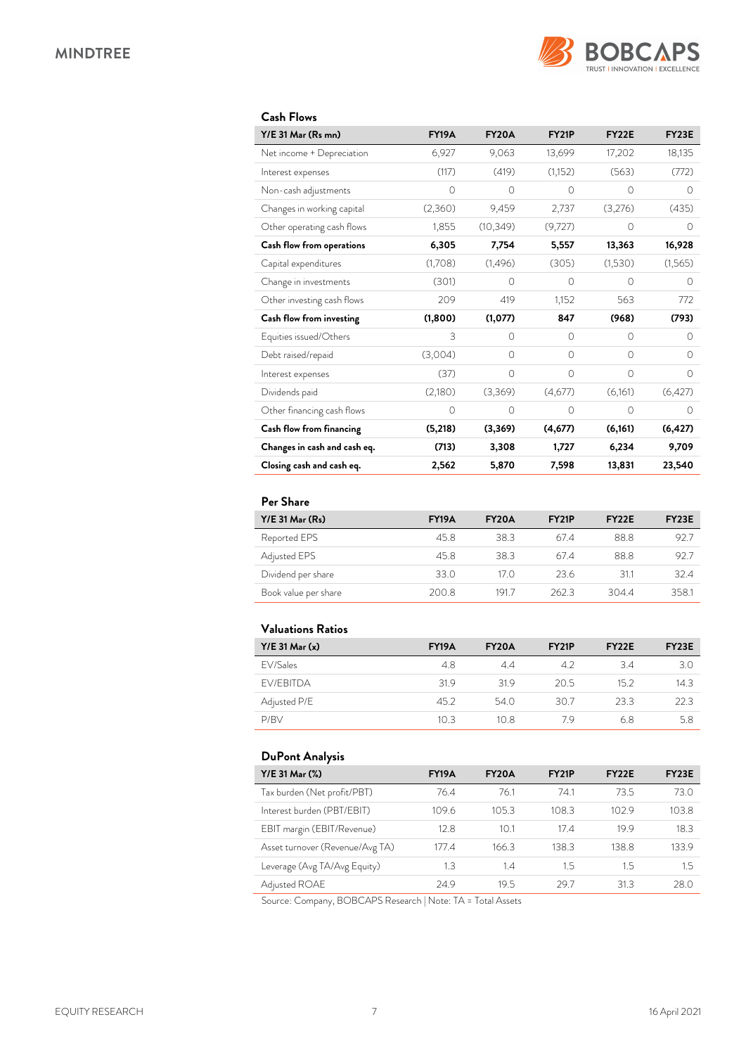

### *Cash Flows*

| Y/E 31 Mar (Rs mn)           | <b>FY19A</b> | <b>FY20A</b> | <b>FY21P</b> | <b>FY22E</b> | <b>FY23E</b> |
|------------------------------|--------------|--------------|--------------|--------------|--------------|
| Net income + Depreciation    | 6,927        | 9,063        | 13,699       | 17,202       | 18,135       |
| Interest expenses            | (117)        | (419)        | (1,152)      | (563)        | (772)        |
| Non-cash adjustments         | $\circ$      | $\circ$      | 0            | $\circ$      | 0            |
| Changes in working capital   | (2,360)      | 9,459        | 2,737        | (3,276)      | (435)        |
| Other operating cash flows   | 1,855        | (10, 349)    | (9,727)      | 0            | Ω            |
| Cash flow from operations    | 6,305        | 7,754        | 5,557        | 13,363       | 16,928       |
| Capital expenditures         | (1,708)      | (1,496)      | (305)        | (1,530)      | (1,565)      |
| Change in investments        | (301)        | $\bigcap$    | $\bigcap$    | $\bigcap$    | $\bigcap$    |
| Other investing cash flows   | 209          | 419          | 1,152        | 563          | 772          |
| Cash flow from investing     | (1,800)      | (1,077)      | 847          | (968)        | (793)        |
| Equities issued/Others       | 3            | $\Omega$     | $\Omega$     | $\Omega$     | 0            |
| Debt raised/repaid           | (3,004)      | $\Omega$     | $\Omega$     | $\Omega$     | $\Omega$     |
| Interest expenses            | (37)         | $\Omega$     | $\Omega$     | $\Omega$     | $\Omega$     |
| Dividends paid               | (2,180)      | (3,369)      | (4,677)      | (6,161)      | (6,427)      |
| Other financing cash flows   | $\circ$      | 0            | $\Omega$     | $\Omega$     | $\Omega$     |
| Cash flow from financing     | (5,218)      | (3,369)      | (4,677)      | (6, 161)     | (6, 427)     |
| Changes in cash and cash eq. | (713)        | 3,308        | 1,727        | 6,234        | 9,709        |
| Closing cash and cash eq.    | 2,562        | 5,870        | 7,598        | 13,831       | 23,540       |

### *Per Share*

| $Y/E$ 31 Mar $(Rs)$  | <b>FY19A</b> | <b>FY20A</b> | <b>FY21P</b> | FY <sub>2</sub> 2E | FY <sub>23</sub> E |
|----------------------|--------------|--------------|--------------|--------------------|--------------------|
| Reported EPS         | 45.8         | 383          | 674          | 88.8               | 92.7               |
| Adjusted EPS         | 45.8         | 383          | 674          | 88.8               | 92.7               |
| Dividend per share   | 33.0         | 17 O         | 23.6         | 311                | 32.4               |
| Book value per share | 200.8        | 1917         | 2623         | 3044               | 358.1              |

## *Valuations Ratios*

| $Y/E$ 31 Mar $(x)$ | <b>FY19A</b> | <b>FY20A</b> | FY <sub>21</sub> P | FY <sub>22</sub> E | FY <sub>23</sub> E |
|--------------------|--------------|--------------|--------------------|--------------------|--------------------|
| FV/Sales           | 4.8          | 44           | 42                 | 34                 | 3.0                |
| <b>FV/FBITDA</b>   | 319          | 319          | 20.5               | 152                | 14.3               |
| Adjusted P/E       | 45.2         | 54.0         | 30.7               | 23.3               | 22.3               |
| P/BV               | 10.3         | 10.8         | 79                 | 68                 | 5.8                |

### *DuPont Analysis*

| Y/E 31 Mar (%)                  | <b>FY19A</b> | FY <sub>20</sub> A | FY <sub>21</sub> P | FY <sub>22</sub> E | FY <sub>23</sub> E |
|---------------------------------|--------------|--------------------|--------------------|--------------------|--------------------|
| Tax burden (Net profit/PBT)     | 76.4         | 76.1               | 74.1               | 73.5               | 73.0               |
| Interest burden (PBT/EBIT)      | 109.6        | 105.3              | 108.3              | 102.9              | 103.8              |
| EBIT margin (EBIT/Revenue)      | 12.8         | 10.1               | 17 4               | 199                | 18.3               |
| Asset turnover (Revenue/Avg TA) | 177.4        | 166.3              | 138.3              | 138.8              | 133.9              |
| Leverage (Avg TA/Avg Equity)    | 1.3          | 1.4                | 1.5                | 1.5                | 1.5                |
| Adjusted ROAE                   | 24.9         | 19.5               | 29.7               | 313                | 28.0               |

Source: Company, BOBCAPS Research | Note: TA = Total Assets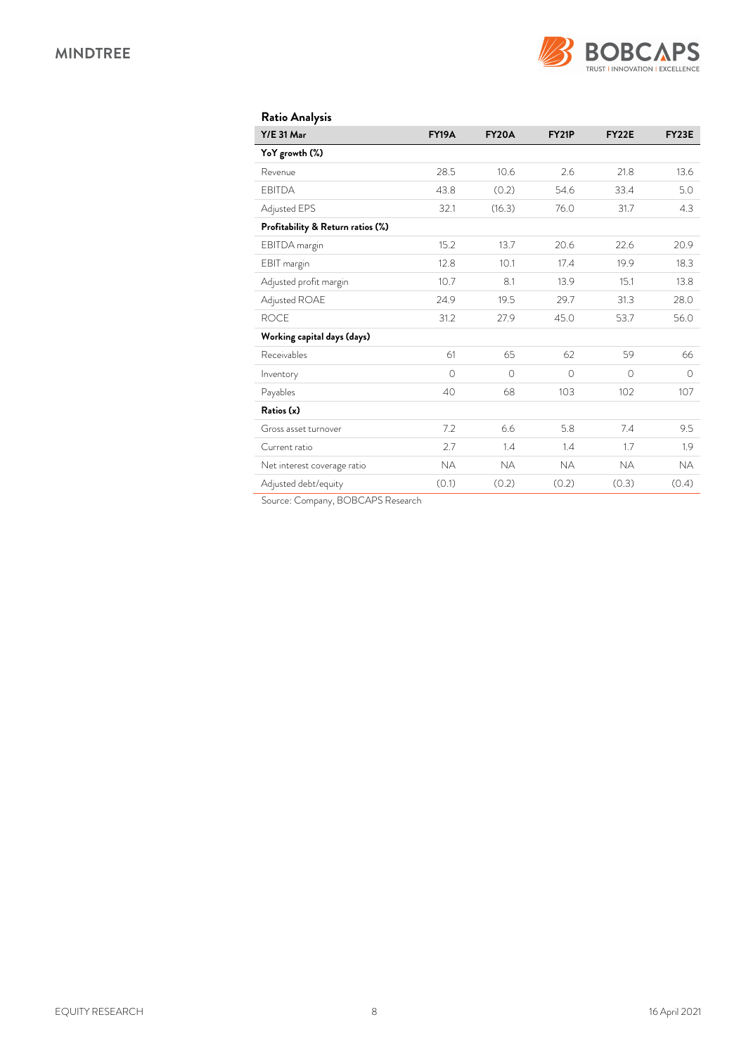

| <b>Ratio Analysis</b>             |              |              |              |              |              |
|-----------------------------------|--------------|--------------|--------------|--------------|--------------|
| <b>Y/E 31 Mar</b>                 | <b>FY19A</b> | <b>FY20A</b> | <b>FY21P</b> | <b>FY22E</b> | <b>FY23E</b> |
| YoY growth (%)                    |              |              |              |              |              |
| Revenue                           | 28.5         | 10.6         | 2.6          | 21.8         | 13.6         |
| <b>EBITDA</b>                     | 43.8         | (0.2)        | 54.6         | 33.4         | 5.0          |
| Adjusted EPS                      | 32.1         | (16.3)       | 76.0         | 31.7         | 4.3          |
| Profitability & Return ratios (%) |              |              |              |              |              |
| EBITDA margin                     | 15.2         | 13.7         | 20.6         | 22.6         | 20.9         |
| EBIT margin                       | 12.8         | 10.1         | 17.4         | 19.9         | 18.3         |
| Adjusted profit margin            | 10.7         | 8.1          | 13.9         | 15.1         | 13.8         |
| Adjusted ROAE                     | 24.9         | 19.5         | 29.7         | 31.3         | 28.0         |
| <b>ROCE</b>                       | 31.2         | 27.9         | 45.0         | 53.7         | 56.0         |
| Working capital days (days)       |              |              |              |              |              |
| Receivables                       | 61           | 65           | 62           | 59           | 66           |
| Inventory                         | $\Omega$     | $\Omega$     | $\bigcirc$   | $\Omega$     | $\bigcirc$   |
| Payables                          | 40           | 68           | 103          | 102          | 107          |
| Ratios (x)                        |              |              |              |              |              |
| Gross asset turnover              | 7.2          | 6.6          | 5.8          | 7.4          | 9.5          |
| Current ratio                     | 2.7          | 1.4          | 1.4          | 1.7          | 1.9          |
| Net interest coverage ratio       | <b>NA</b>    | <b>NA</b>    | <b>NA</b>    | <b>NA</b>    | <b>NA</b>    |
| Adjusted debt/equity              | (0.1)        | (0.2)        | (0.2)        | (0.3)        | (0.4)        |

Source: Company, BOBCAPS Research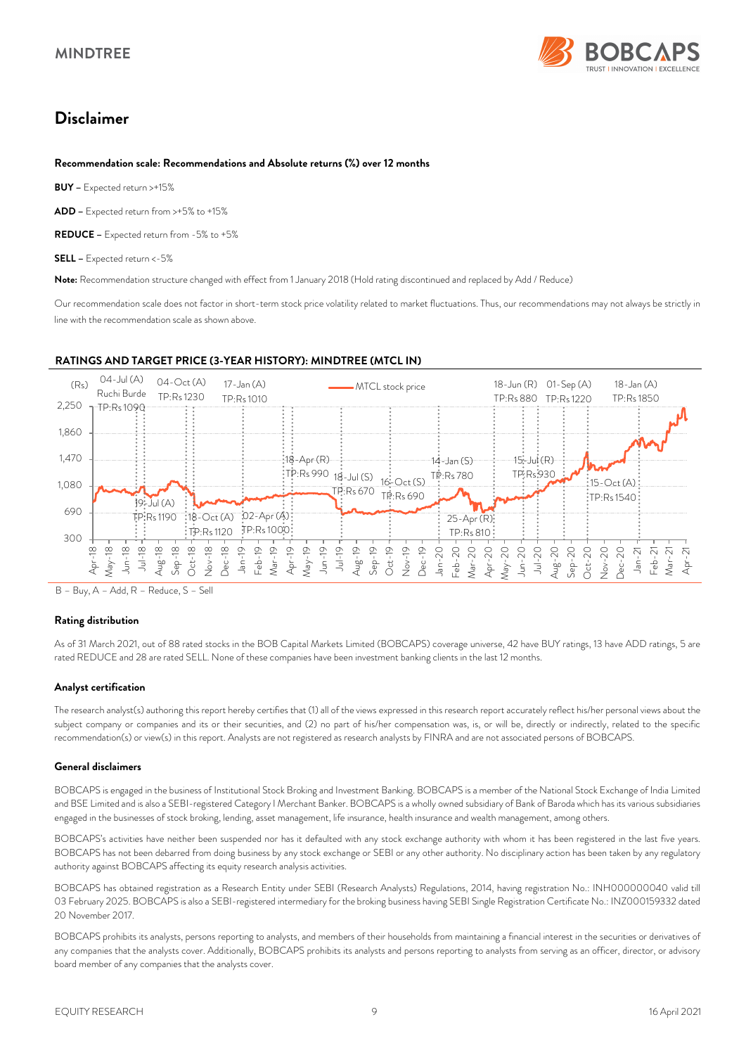

# *Disclaimer*

#### *Recommendation scale: Recommendations and Absolute returns (%) over 12 months*

*RATINGS AND TARGET PRICE (3-YEAR HISTORY): MINDTREE (MTCL IN)*

*BUY –* Expected return >+15%

*ADD –* Expected return from >+5% to +15%

*REDUCE –* Expected return from -5% to +5%

*SELL –* Expected return <-5%

*Note:* Recommendation structure changed with effect from 1 January 2018 (Hold rating discontinued and replaced by Add / Reduce)

Our recommendation scale does not factor in short-term stock price volatility related to market fluctuations. Thus, our recommendations may not always be strictly in line with the recommendation scale as shown above.

#### 04-Jul (A) Ruchi Burde TP:Rs 1090  $19 -$ Jul (A) TP:Rs 1190 04-Oct (A) TP:Rs 1230 18-Oct (A) 02-Apr (A) TP-R<sub>s</sub> 1120 17- $\text{lan}(\Delta)$ TP:Rs 1010 TP:Rs 1000  $*18-Apr(R)$  $\frac{1}{2}$ TP:Rs 990  $18 -$ Jul (S) TP:Rs 670 16-Oct (S) TP:Rs 690 14-Jan (S) TP:Rs 780 25-Apr (R) TP:Rs 810 18-Jun (R) 01-Sep (A) TP:Rs 880 TP:Rs 1220 15-Jul (R) TP:Rs 930  $15-Ort(A)$  $TPP-Rs 1540$ 18-Jan (A) TP:Rs 1850 300 690 1,080 1,470 1,860 2,250 Apr-18 May-18 Jun-18 Jul-18 Aug-18 Sep-18 Oct-18 Nov-18 Dec-18 Jan-19 Feb-19<br>Var-19  $\frac{1}{\sqrt{2}}$ Apr-19 May-19 Jun-19 Jul-19 Aug-19 Sep-19 Oct-19 Nov-19 Dec-19 Jan-20 Feb-20<br>Nar-20 Aar-20<br>Apr-20 –<br>عو  $\text{day}-20$ Jun-20 Jul-20 Aug-20<br>Sep-20  $Sep-$ Oct-20 Nov-20 Dec-20 Jan-21 Feb-21 Mar-21 Apr-21  $(R<sub>S</sub>)$   $Q<sub>A</sub>-Jul$   $(Q<sub>A</sub>)$   $Q<sub>A</sub>-Oct$   $(Q<sub>A</sub>)$   $Q<sub>A</sub>-Jaln$   $(Q<sub>A</sub>)$   $Q<sub>A</sub>-Oct$   $(Q<sub>A</sub>)$

B – Buy, A – Add, R – Reduce, S – Sell

#### *Rating distribution*

As of 31 March 2021, out of 88 rated stocks in the BOB Capital Markets Limited (BOBCAPS) coverage universe, 42 have BUY ratings, 13 have ADD ratings, 5 are rated REDUCE and 28 are rated SELL. None of these companies have been investment banking clients in the last 12 months.

#### *Analyst certification*

The research analyst(s) authoring this report hereby certifies that (1) all of the views expressed in this research report accurately reflect his/her personal views about the subject company or companies and its or their securities, and (2) no part of his/her compensation was, is, or will be, directly or indirectly, related to the specific recommendation(s) or view(s) in this report. Analysts are not registered as research analysts by FINRA and are not associated persons of BOBCAPS.

#### *General disclaimers*

BOBCAPS is engaged in the business of Institutional Stock Broking and Investment Banking. BOBCAPS is a member of the National Stock Exchange of India Limited and BSE Limited and is also a SEBI-registered Category I Merchant Banker. BOBCAPS is a wholly owned subsidiary of Bank of Baroda which has its various subsidiaries engaged in the businesses of stock broking, lending, asset management, life insurance, health insurance and wealth management, among others.

BOBCAPS's activities have neither been suspended nor has it defaulted with any stock exchange authority with whom it has been registered in the last five years. BOBCAPS has not been debarred from doing business by any stock exchange or SEBI or any other authority. No disciplinary action has been taken by any regulatory authority against BOBCAPS affecting its equity research analysis activities.

BOBCAPS has obtained registration as a Research Entity under SEBI (Research Analysts) Regulations, 2014, having registration No.: INH000000040 valid till 03 February 2025. BOBCAPS is also a SEBI-registered intermediary for the broking business having SEBI Single Registration Certificate No.: INZ000159332 dated 20 November 2017.

BOBCAPS prohibits its analysts, persons reporting to analysts, and members of their households from maintaining a financial interest in the securities or derivatives of any companies that the analysts cover. Additionally, BOBCAPS prohibits its analysts and persons reporting to analysts from serving as an officer, director, or advisory board member of any companies that the analysts cover.